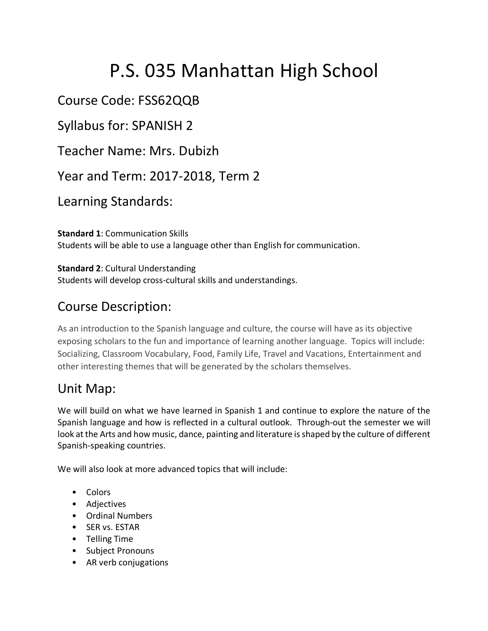# P.S. 035 Manhattan High School

## Course Code: FSS62QQB

Syllabus for: SPANISH 2

Teacher Name: Mrs. Dubizh

Year and Term: 2017-2018, Term 2

Learning Standards:

**Standard 1**: Communication Skills Students will be able to use a language other than English for communication.

**Standard 2**: Cultural Understanding Students will develop cross-cultural skills and understandings.

# Course Description:

As an introduction to the Spanish language and culture, the course will have as its objective exposing scholars to the fun and importance of learning another language. Topics will include: Socializing, Classroom Vocabulary, Food, Family Life, Travel and Vacations, Entertainment and other interesting themes that will be generated by the scholars themselves.

## Unit Map:

We will build on what we have learned in Spanish 1 and continue to explore the nature of the Spanish language and how is reflected in a cultural outlook. Through-out the semester we will look at the Arts and how music, dance, painting and literature is shaped by the culture of different Spanish-speaking countries.

We will also look at more advanced topics that will include:

- Colors
- Adjectives
- Ordinal Numbers
- SER vs. ESTAR
- Telling Time
- Subject Pronouns
- AR verb conjugations